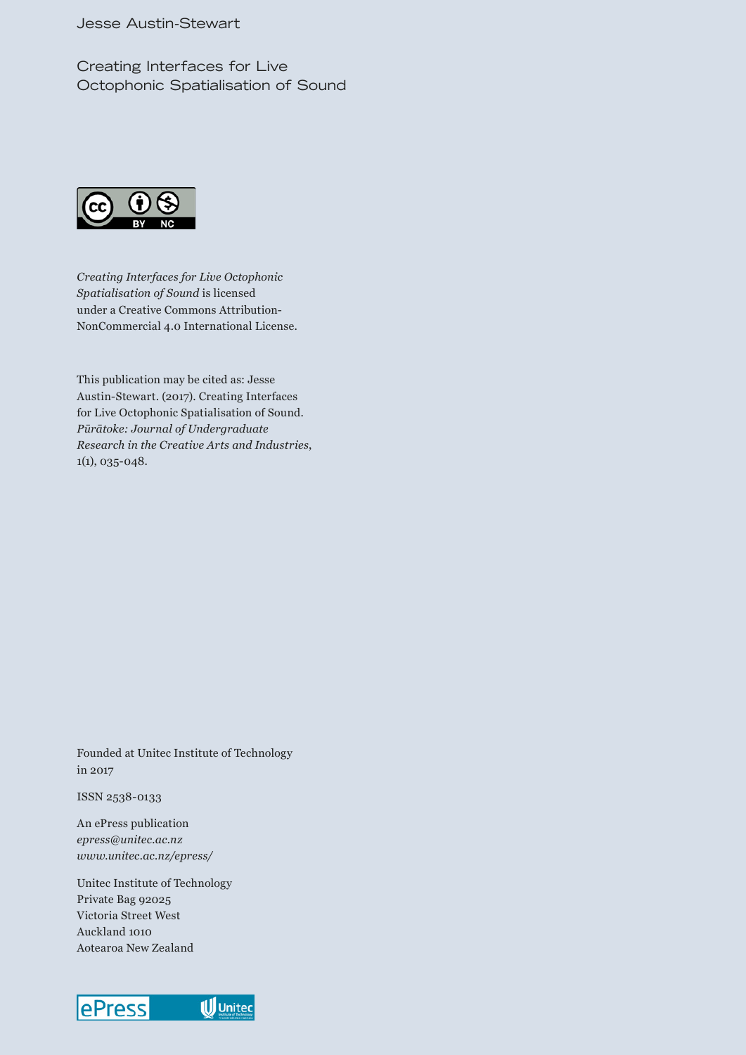Creating Interfaces for Live Octophonic Spatialisation of Sound



*Creating Interfaces for Live Octophonic Spatialisation of Sound* is licensed under a Creative Commons Attribution-NonCommercial 4.0 International License.

This publication may be cited as: Jesse Austin-Stewart. (2017). Creating Interfaces for Live Octophonic Spatialisation of Sound. *Pūrātoke: Journal of Undergraduate Research in the Creative Arts and Industries*, 1(1), 035-048.

Founded at Unitec Institute of Technology in 2017

ISSN 2538-0133

An ePress publication *epress@unitec.ac.nz www.unitec.ac.nz/epress/*

Unitec Institute of Technology Private Bag 92025 Victoria Street West Auckland 1010 Aotearoa New Zealand

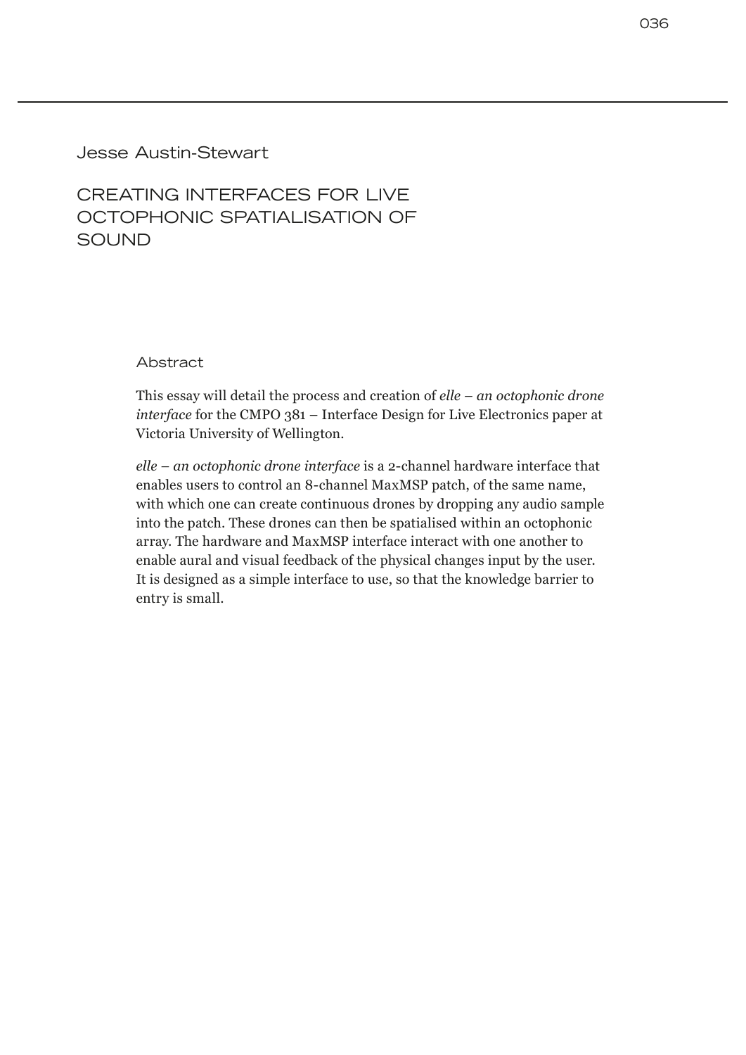## Jesse Austin-Stewart

# CREATING INTERFACES FOR LIVE OCTOPHONIC SPATIALISATION OF **SOUND**

Abstract

This essay will detail the process and creation of *elle – an octophonic drone interface* for the CMPO 381 – Interface Design for Live Electronics paper at Victoria University of Wellington.

*elle – an octophonic drone interface* is a 2-channel hardware interface that enables users to control an 8-channel MaxMSP patch, of the same name, with which one can create continuous drones by dropping any audio sample into the patch. These drones can then be spatialised within an octophonic array. The hardware and MaxMSP interface interact with one another to enable aural and visual feedback of the physical changes input by the user. It is designed as a simple interface to use, so that the knowledge barrier to entry is small.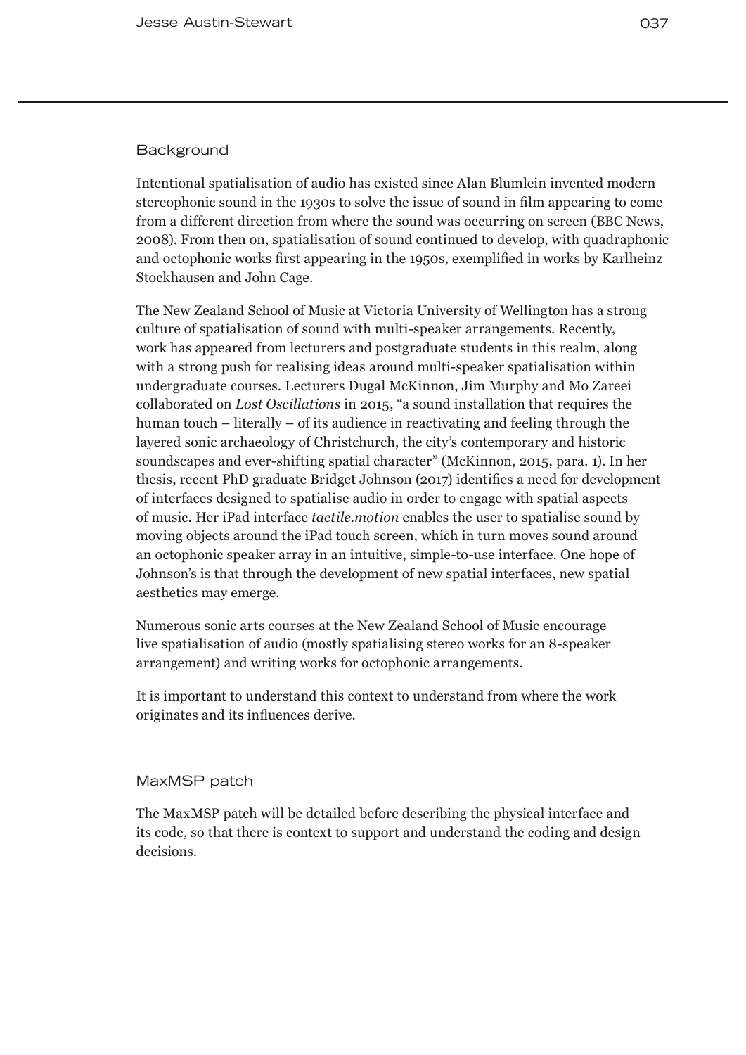### **Background**

Intentional spatialisation of audio has existed since Alan Blumlein invented modern stereophonic sound in the 1930s to solve the issue of sound in film appearing to come from a different direction from where the sound was occurring on screen (BBC News, 2008). From then on, spatialisation of sound continued to develop, with quadraphonic and octophonic works first appearing in the 1950s, exemplified in works by Karlheinz Stockhausen and John Cage.

The New Zealand School of Music at Victoria University of Wellington has a strong culture of spatialisation of sound with multi-speaker arrangements. Recently, work has appeared from lecturers and postgraduate students in this realm, along with a strong push for realising ideas around multi-speaker spatialisation within undergraduate courses. Lecturers Dugal McKinnon, Jim Murphy and Mo Zareei collaborated on *Lost Oscillations* in 2015, "a sound installation that requires the human touch – literally – of its audience in reactivating and feeling through the layered sonic archaeology of Christchurch, the city's contemporary and historic soundscapes and ever-shifting spatial character" (McKinnon, 2015, para. 1). In her thesis, recent PhD graduate Bridget Johnson (2017) identifies a need for development of interfaces designed to spatialise audio in order to engage with spatial aspects of music. Her iPad interface *tactile.motion* enables the user to spatialise sound by moving objects around the iPad touch screen, which in turn moves sound around an octophonic speaker array in an intuitive, simple-to-use interface. One hope of Johnson's is that through the development of new spatial interfaces, new spatial aesthetics may emerge.

Numerous sonic arts courses at the New Zealand School of Music encourage live spatialisation of audio (mostly spatialising stereo works for an 8-speaker arrangement) and writing works for octophonic arrangements.

It is important to understand this context to understand from where the work originates and its influences derive.

#### MaxMSP patch

The MaxMSP patch will be detailed before describing the physical interface and its code, so that there is context to support and understand the coding and design decisions.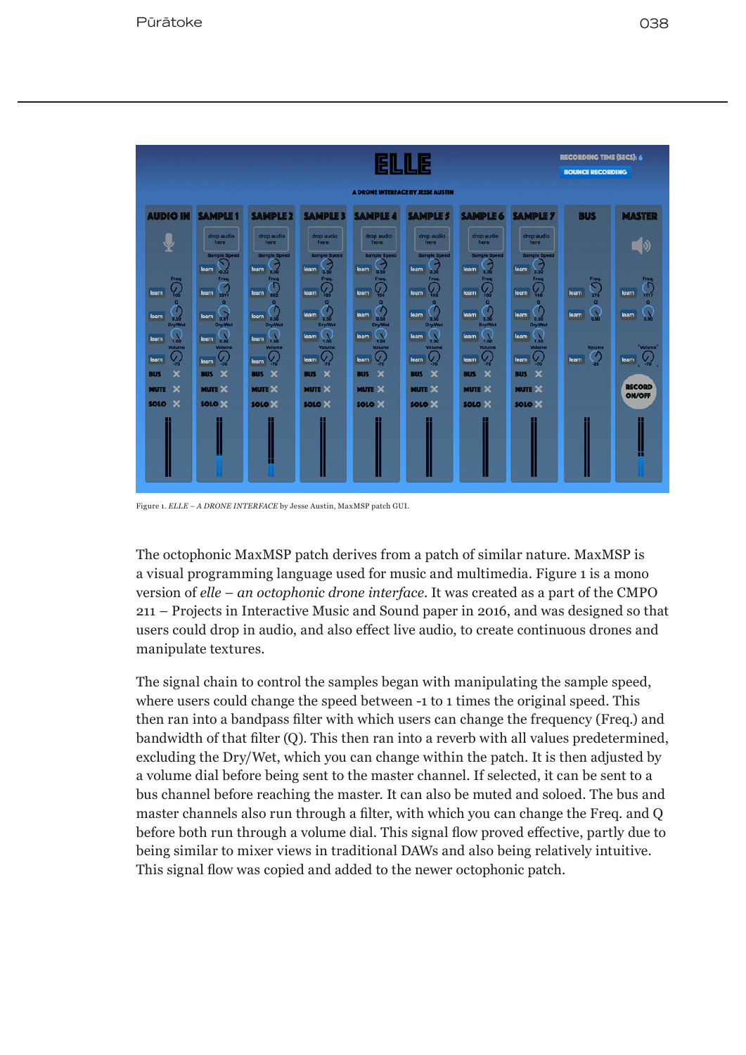**SOLO**  $\mathbf{x}$ 



Figure 1. *ELLE – A DRONE INTERFACE* by Jesse Austin, MaxMSP patch GUI.

The octophonic MaxMSP patch derives from a patch of similar nature. MaxMSP is a visual programming language used for music and multimedia. Figure 1 is a mono version of *elle – an octophonic drone interface*. It was created as a part of the CMPO 211 – Projects in Interactive Music and Sound paper in 2016, and was designed so that users could drop in audio, and also effect live audio, to create continuous drones and manipulate textures.

The signal chain to control the samples began with manipulating the sample speed, where users could change the speed between -1 to 1 times the original speed. This then ran into a bandpass filter with which users can change the frequency (Freq.) and bandwidth of that filter (Q). This then ran into a reverb with all values predetermined, excluding the Dry/Wet, which you can change within the patch. It is then adjusted by a volume dial before being sent to the master channel. If selected, it can be sent to a bus channel before reaching the master. It can also be muted and soloed. The bus and master channels also run through a filter, with which you can change the Freq. and Q before both run through a volume dial. This signal flow proved effective, partly due to being similar to mixer views in traditional DAWs and also being relatively intuitive. This signal flow was copied and added to the newer octophonic patch.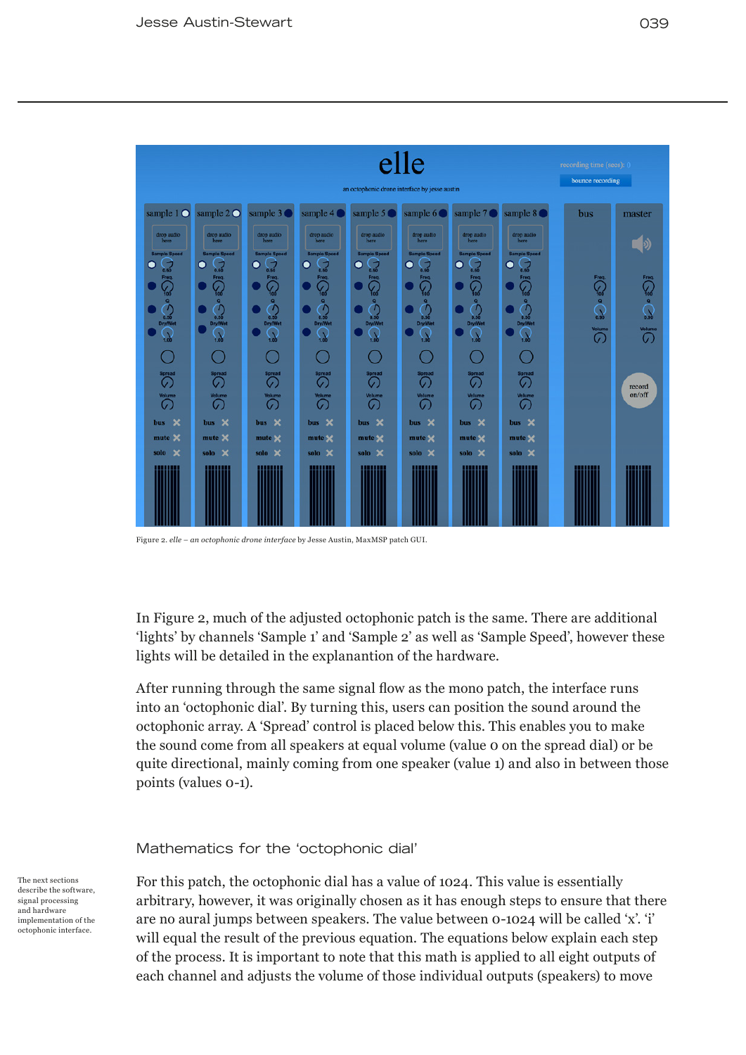| elle<br>an octophonic drone interface by jesse austin |                                         |                                        |                                                |                                                   |                                                |                                                                            |                                       | recording time (sees): 0<br>bounce recording |                          |
|-------------------------------------------------------|-----------------------------------------|----------------------------------------|------------------------------------------------|---------------------------------------------------|------------------------------------------------|----------------------------------------------------------------------------|---------------------------------------|----------------------------------------------|--------------------------|
| sample $1$ $\bigcirc$                                 | sample $2^{\circ}$                      | sample 3                               | sample 4                                       | sample 5                                          | sample 6                                       | sample 7                                                                   | sample 8                              | bus                                          | master                   |
| drop audio<br>here                                    | drop audio<br>here                      | drop audio<br>here                     | drop audio<br>here                             | drop audio<br>here                                | drop audio<br>here                             | drop audio<br>here                                                         | drop audio<br>here                    |                                              |                          |
| <b>Sample Speed</b><br>$\sqrt{3}$<br>0                | <b>Sample Speed</b><br>О<br>$\sqrt{2}$  | <b>Sample Speed</b><br>О<br>$\sqrt{2}$ | <b>Sample Speed</b><br>$\bullet$<br>$\sqrt{2}$ | <b>Sample Speed</b><br>$\bullet$<br>$\sum_{0.50}$ | <b>Sample Speed</b><br>$\bullet$<br>5          | <b>Sample Speed</b><br>$\begin{array}{c} \hline \ \hline \end{array}$<br>О | <b>Sample Speed</b><br>J<br>О<br>0.50 |                                              |                          |
| Freq<br>$\mathcal{G}$                                 | Freq.<br>G.<br>$\frac{9}{100}$          | Freq.<br>v.<br>íoó                     | Freq.<br>$\sqrt{\frac{1}{100}}$                | Freq.<br>$\frac{1}{100}$                          | Freq.<br>$\mathcal{G}$                         | Freq.<br>$\mathcal{G}$                                                     | Freq.<br>$\mathcal{G}_{\mathsf{co}}$  | Freq.<br>$\mathcal{G}_{\mathsf{io}}$         | Freq.                    |
| $\bullet$<br>$\bigodot$ <sub>0.50</sub>               | ۰<br>$\mathcal{L}$<br>0.50              | $\bullet$<br>$\mathcal{L}$<br>0.50     | $\bullet$<br>$\tau$<br>0.50                    | $\circ$<br>$\Gamma$<br>0.50                       | ۰<br>$\tau$<br>0.50                            | $\bullet$<br>$\tau$<br>0.50                                                | ۰<br>$\mathcal{L}$<br>0.50            | $\mathbf{Q}$<br>$\Omega$                     | $\sum_{\alpha}^{\infty}$ |
| <b>Dry/Wet</b><br>$\sum_{1,00}$                       | <b>Dry/Wet</b><br>1.00                  | <b>Dry/Wet</b><br>1.00                 | <b>Dry/Wet</b><br>x<br>$\ddot{ }$              | <b>Dry/Wet</b><br>$\mathbf{v}$<br>1.00            | <b>Dry/Wet</b><br>1.00                         | <b>Dry/Wet</b><br>1.00                                                     | Dry/Wet<br>1.00                       | Volume<br>$\mathcal{C}$                      | Volume<br>の              |
|                                                       |                                         |                                        |                                                |                                                   |                                                | s,                                                                         |                                       |                                              |                          |
| <b>Spread</b><br>G                                    | <b>Spread</b><br>の                      | <b>Spread</b><br>の                     | Spread<br>Ø                                    | Spread<br>G                                       | Spread<br>G                                    | <b>Spread</b><br>G.                                                        | <b>Spread</b><br>C                    |                                              | record                   |
| <b>Volume</b><br>G.                                   | Volume<br>O.                            | <b>Volume</b><br>$\mathcal{C}$         | Volume<br>G                                    | Volume<br>O.                                      | Volume<br>G.                                   | Volume<br>G.                                                               | <b>Volume</b><br>G.                   |                                              | on/off                   |
| $\boldsymbol{\mathsf{x}}$<br>bus                      | bus X                                   | $\boldsymbol{\mathsf{x}}$<br>bus       | bus X                                          | bus X                                             | $\boldsymbol{\mathsf{x}}$<br><b>bus</b>        | bus X                                                                      | $\boldsymbol{\times}$<br>bus          |                                              |                          |
| mute X<br>×<br>solo                                   | mute X<br>$\boldsymbol{\times}$<br>solo | mute ×<br>solo X                       | mute <b>x</b><br>solo X                        | mute X<br>solo X                                  | mute <b>x</b><br>$\boldsymbol{\times}$<br>solo | mute <b>x</b><br>solo X                                                    | mute X<br>solo X                      |                                              |                          |
|                                                       |                                         |                                        |                                                |                                                   |                                                |                                                                            |                                       |                                              |                          |
|                                                       |                                         |                                        |                                                |                                                   |                                                |                                                                            |                                       |                                              |                          |
|                                                       |                                         |                                        |                                                |                                                   |                                                |                                                                            |                                       |                                              |                          |

Figure 2. *elle – an octophonic drone interface* by Jesse Austin, MaxMSP patch GUI.

In Figure 2, much of the adjusted octophonic patch is the same. There are additional 'lights' by channels 'Sample 1' and 'Sample 2' as well as 'Sample Speed', however these lights will be detailed in the explanantion of the hardware.

After running through the same signal flow as the mono patch, the interface runs into an 'octophonic dial'. By turning this, users can position the sound around the octophonic array. A 'Spread' control is placed below this. This enables you to make the sound come from all speakers at equal volume (value 0 on the spread dial) or be quite directional, mainly coming from one speaker (value 1) and also in between those points (values 0-1).

#### Mathematics for the 'octophonic dial'

The next sections describe the software, signal processing and hardware implementation of the octophonic interface.

For this patch, the octophonic dial has a value of 1024. This value is essentially arbitrary, however, it was originally chosen as it has enough steps to ensure that there are no aural jumps between speakers. The value between 0-1024 will be called 'x'. 'i' will equal the result of the previous equation. The equations below explain each step of the process. It is important to note that this math is applied to all eight outputs of each channel and adjusts the volume of those individual outputs (speakers) to move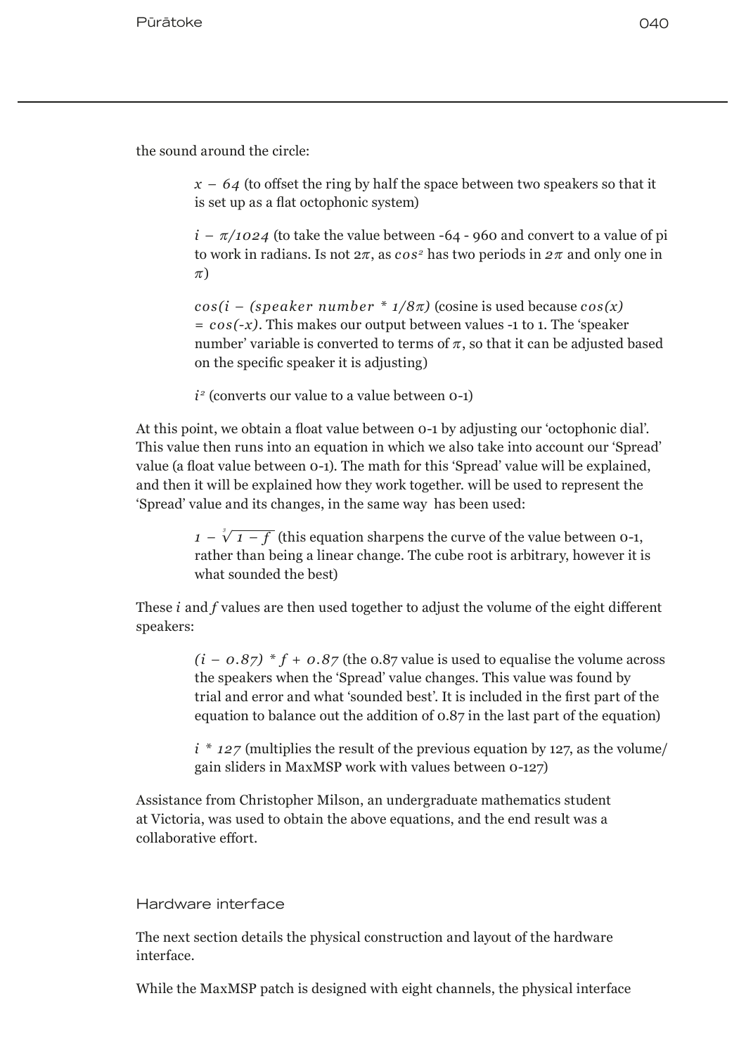the sound around the circle:

 $x - 64$  (to offset the ring by half the space between two speakers so that it is set up as a flat octophonic system)

 $i - \pi/1024$  (to take the value between -64 - 960 and convert to a value of pi to work in radians. Is not  $2\pi$ , as  $\cos^2$  has two periods in  $2\pi$  and only one in  $\pi$ )

 $cos(i - (speedker number * 1/8\pi)$  (cosine is used because  $cos(x)$ ) *= cos(-x)*. This makes our output between values -1 to 1. The 'speaker number' variable is converted to terms of  $\pi$ , so that it can be adjusted based on the specific speaker it is adjusting)

 $i<sup>2</sup>$  (converts our value to a value between  $0-1$ )

At this point, we obtain a float value between 0-1 by adjusting our 'octophonic dial'. This value then runs into an equation in which we also take into account our 'Spread' value (a float value between 0-1). The math for this 'Spread' value will be explained, and then it will be explained how they work together. will be used to represent the 'Spread' value and its changes, in the same way has been used:

> $1 - \sqrt[3]{1-f}$  (this equation sharpens the curve of the value between 0-1, rather than being a linear change. The cube root is arbitrary, however it is what sounded the best)

These *i* and *f* values are then used together to adjust the volume of the eight different speakers:

> $(i - 0.87) * f + 0.87$  (the 0.87 value is used to equalise the volume across the speakers when the 'Spread' value changes. This value was found by trial and error and what 'sounded best'. It is included in the first part of the equation to balance out the addition of 0.87 in the last part of the equation)

> $i * 127$  (multiplies the result of the previous equation by 127, as the volume gain sliders in MaxMSP work with values between 0-127)

Assistance from Christopher Milson, an undergraduate mathematics student at Victoria, was used to obtain the above equations, and the end result was a collaborative effort.

### Hardware interface

The next section details the physical construction and layout of the hardware interface.

While the MaxMSP patch is designed with eight channels, the physical interface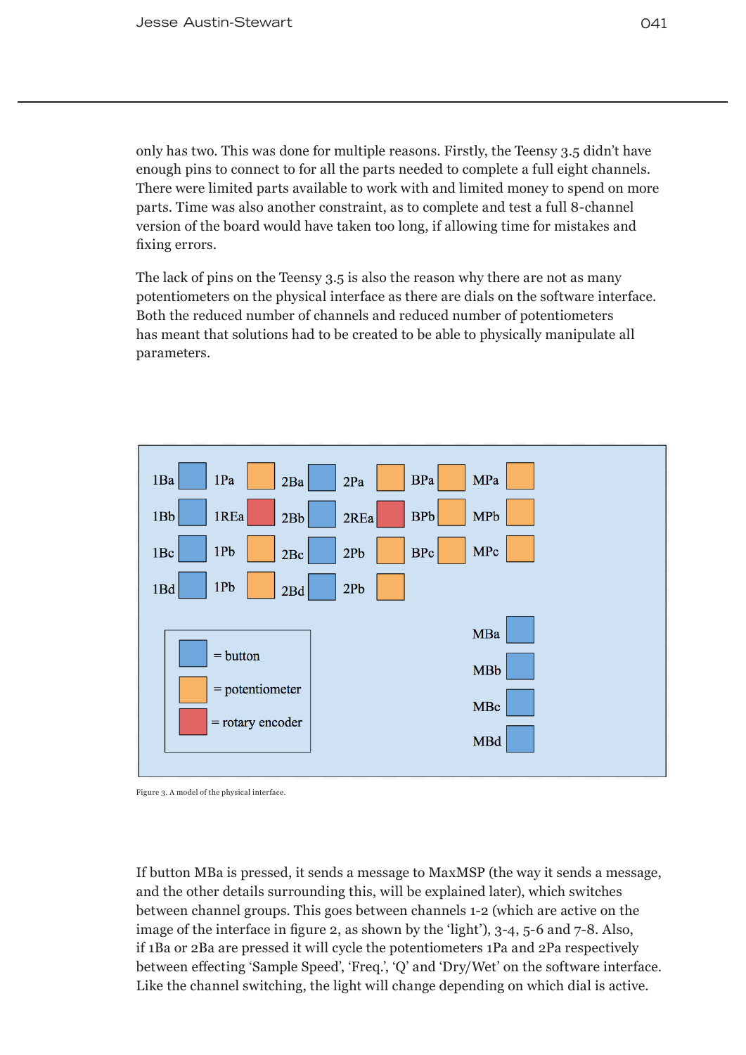only has two. This was done for multiple reasons. Firstly, the Teensy 3.5 didn't have enough pins to connect to for all the parts needed to complete a full eight channels. There were limited parts available to work with and limited money to spend on more parts. Time was also another constraint, as to complete and test a full 8-channel version of the board would have taken too long, if allowing time for mistakes and fixing errors.

The lack of pins on the Teensy 3.5 is also the reason why there are not as many potentiometers on the physical interface as there are dials on the software interface. Both the reduced number of channels and reduced number of potentiometers has meant that solutions had to be created to be able to physically manipulate all parameters.





If button MBa is pressed, it sends a message to MaxMSP (the way it sends a message, and the other details surrounding this, will be explained later), which switches between channel groups. This goes between channels 1-2 (which are active on the image of the interface in figure 2, as shown by the 'light'), 3-4, 5-6 and 7-8. Also, if 1Ba or 2Ba are pressed it will cycle the potentiometers 1Pa and 2Pa respectively between effecting 'Sample Speed', 'Freq.', 'Q' and 'Dry/Wet' on the software interface. Like the channel switching, the light will change depending on which dial is active.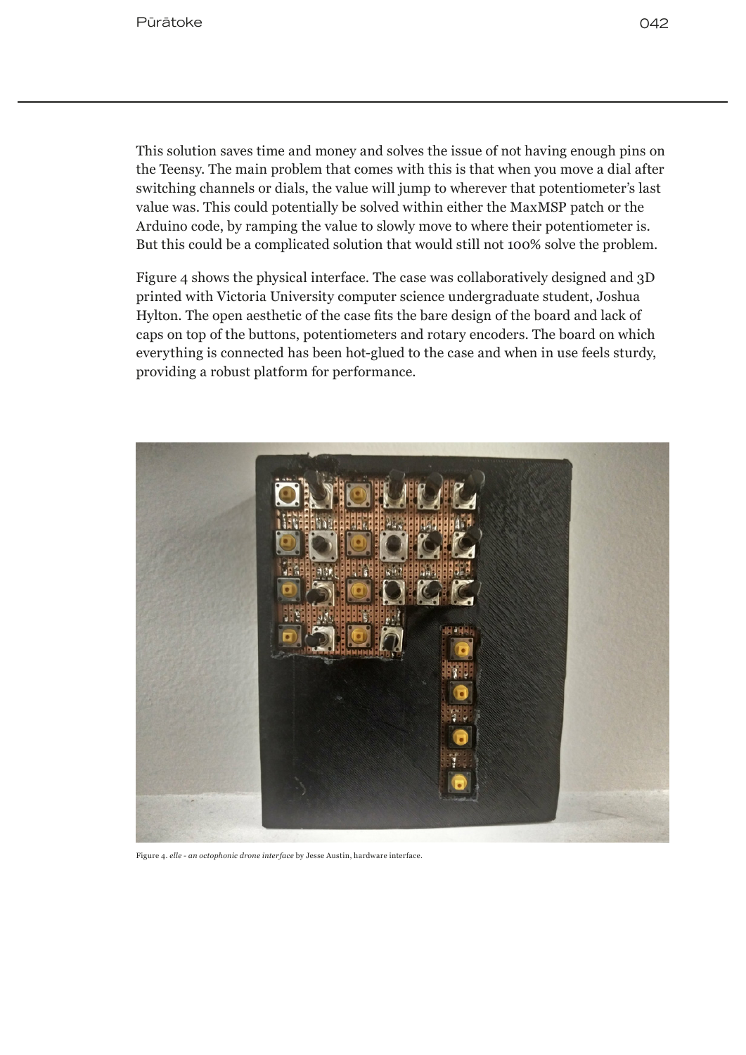This solution saves time and money and solves the issue of not having enough pins on the Teensy. The main problem that comes with this is that when you move a dial after switching channels or dials, the value will jump to wherever that potentiometer's last value was. This could potentially be solved within either the MaxMSP patch or the Arduino code, by ramping the value to slowly move to where their potentiometer is. But this could be a complicated solution that would still not 100% solve the problem.

Figure 4 shows the physical interface. The case was collaboratively designed and 3D printed with Victoria University computer science undergraduate student, Joshua Hylton. The open aesthetic of the case fits the bare design of the board and lack of caps on top of the buttons, potentiometers and rotary encoders. The board on which everything is connected has been hot-glued to the case and when in use feels sturdy, providing a robust platform for performance.



Figure 4. *elle - an octophonic drone interface* by Jesse Austin, hardware interface.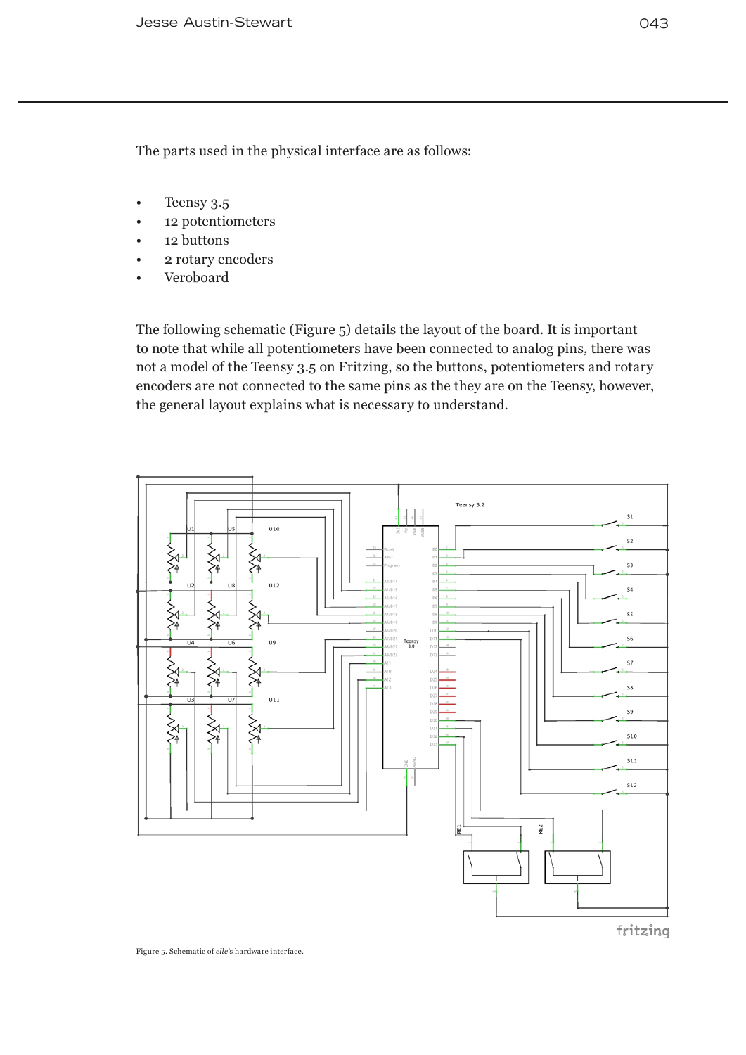The parts used in the physical interface are as follows:

- Teensy 3.5
- 12 potentiometers
- 12 buttons
- 2 rotary encoders
- Veroboard

The following schematic (Figure 5) details the layout of the board. It is important to note that while all potentiometers have been connected to analog pins, there was not a model of the Teensy 3.5 on Fritzing, so the buttons, potentiometers and rotary encoders are not connected to the same pins as the they are on the Teensy, however, the general layout explains what is necessary to understand.



fritzing

Figure 5. Schematic of *elle*'s hardware interface.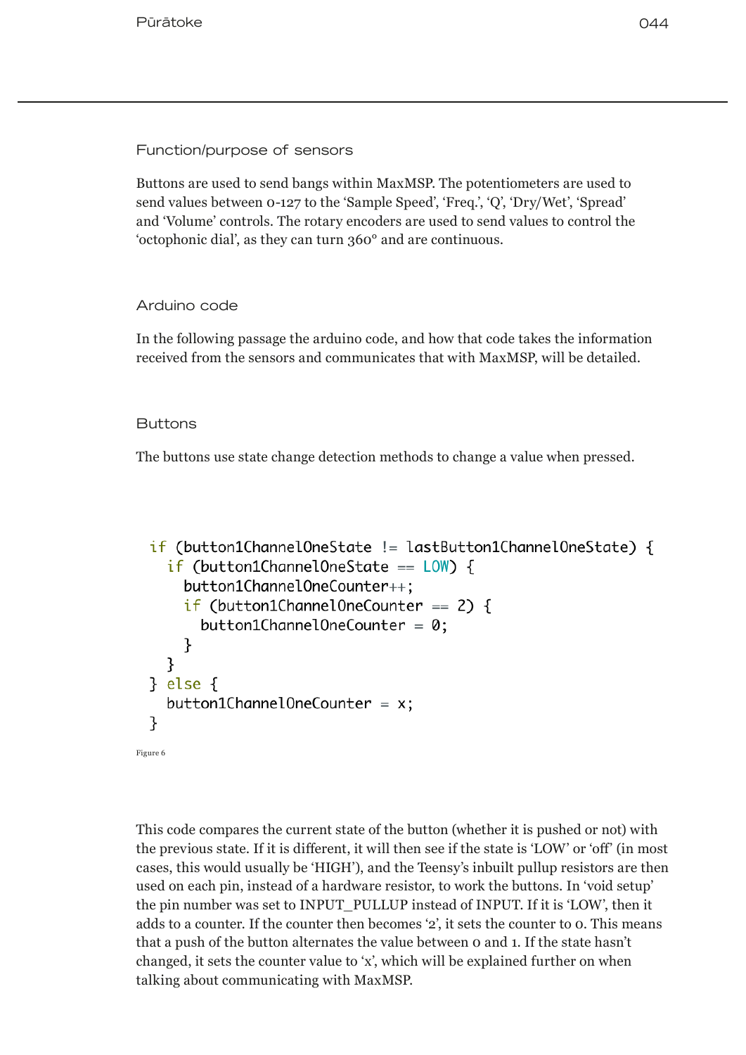Function/purpose of sensors

Buttons are used to send bangs within MaxMSP. The potentiometers are used to send values between 0-127 to the 'Sample Speed', 'Freq.', 'Q', 'Dry/Wet', 'Spread' and 'Volume' controls. The rotary encoders are used to send values to control the 'octophonic dial', as they can turn 360° and are continuous.

## Arduino code

In the following passage the arduino code, and how that code takes the information received from the sensors and communicates that with MaxMSP, will be detailed.

## **Buttons**

The buttons use state change detection methods to change a value when pressed.

```
if (button1Channel0neState != lastButton1Channel0neState) {
   if (button1Channel0neState == LOW) {
     button1Channel0neCounter++:
     if (button1Channel0neCounter == 2) {
       button1Channel0neCounter = 0;ł
   ł
 } else \{button1ChannelOneCounter = x;ł
Figure 6
```
This code compares the current state of the button (whether it is pushed or not) with the previous state. If it is different, it will then see if the state is 'LOW' or 'off' (in most cases, this would usually be 'HIGH'), and the Teensy's inbuilt pullup resistors are then used on each pin, instead of a hardware resistor, to work the buttons. In 'void setup' the pin number was set to INPUT\_PULLUP instead of INPUT. If it is 'LOW', then it adds to a counter. If the counter then becomes '2', it sets the counter to 0. This means that a push of the button alternates the value between 0 and 1. If the state hasn't changed, it sets the counter value to 'x', which will be explained further on when talking about communicating with MaxMSP.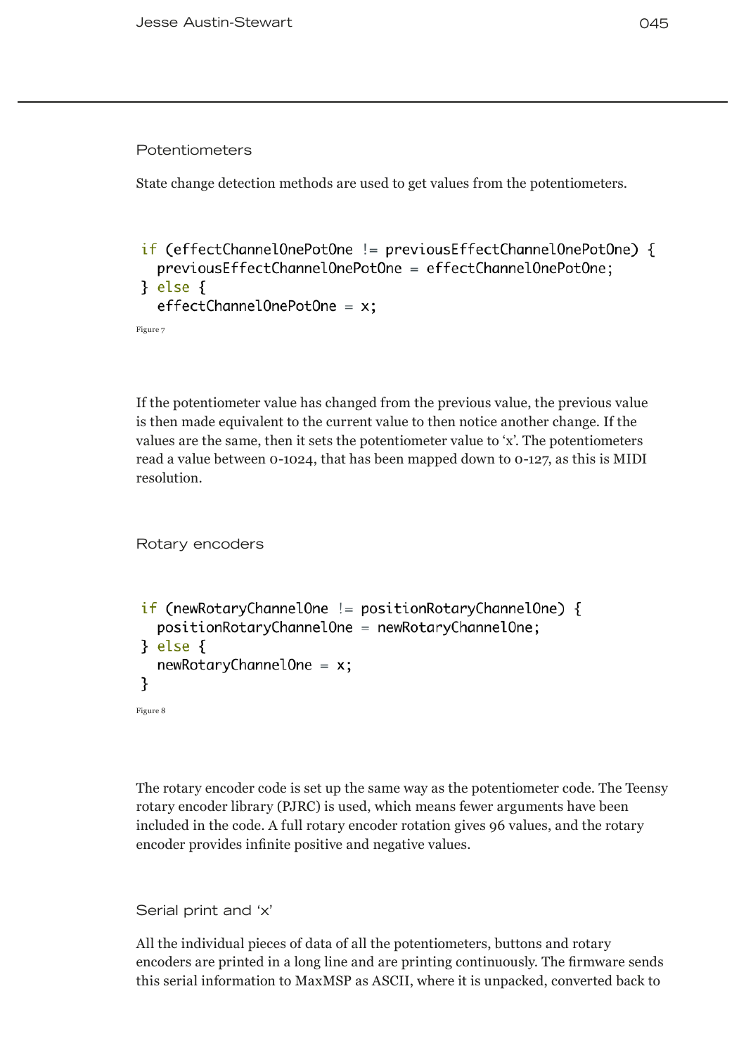#### Potentiometers

State change detection methods are used to get values from the potentiometers.

```
if (effectChannelOnePotOne != previousEffectChannelOnePotOne) {
  previousEffectChannelOnePotOne = effectChannelOnePotOne;
} else \{effectChannelOnePotOne = x;
```
Figure 7

If the potentiometer value has changed from the previous value, the previous value is then made equivalent to the current value to then notice another change. If the values are the same, then it sets the potentiometer value to 'x'. The potentiometers read a value between 0-1024, that has been mapped down to 0-127, as this is MIDI resolution.

Rotary encoders

```
if (newRotaryChannelOne != positionRotaryChannelOne) {
  positionRotaryChannelOne = newRotaryChannelOne;} else \{newRotaryChannelOne = x;ł
Figure 8
```
The rotary encoder code is set up the same way as the potentiometer code. The Teensy rotary encoder library (PJRC) is used, which means fewer arguments have been included in the code. A full rotary encoder rotation gives 96 values, and the rotary encoder provides infinite positive and negative values.

Serial print and 'x'

All the individual pieces of data of all the potentiometers, buttons and rotary encoders are printed in a long line and are printing continuously. The firmware sends this serial information to MaxMSP as ASCII, where it is unpacked, converted back to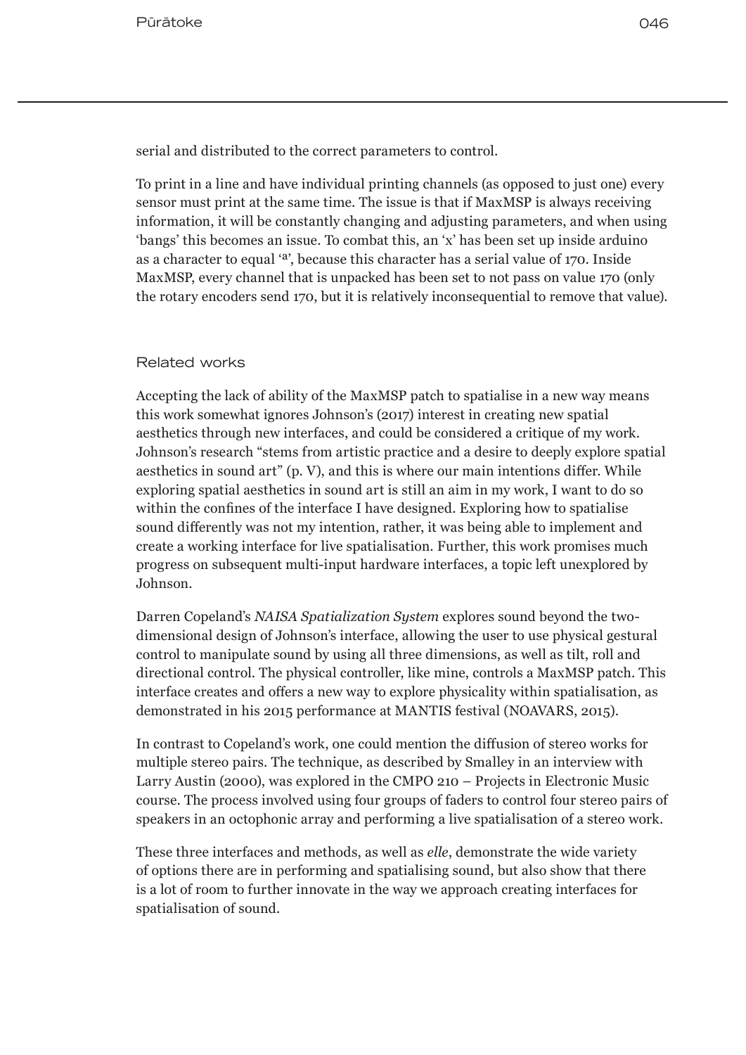serial and distributed to the correct parameters to control.

To print in a line and have individual printing channels (as opposed to just one) every sensor must print at the same time. The issue is that if MaxMSP is always receiving information, it will be constantly changing and adjusting parameters, and when using 'bangs' this becomes an issue. To combat this, an 'x' has been set up inside arduino as a character to equal 'ª', because this character has a serial value of 170. Inside MaxMSP, every channel that is unpacked has been set to not pass on value 170 (only the rotary encoders send 170, but it is relatively inconsequential to remove that value).

#### Related works

Accepting the lack of ability of the MaxMSP patch to spatialise in a new way means this work somewhat ignores Johnson's (2017) interest in creating new spatial aesthetics through new interfaces, and could be considered a critique of my work. Johnson's research "stems from artistic practice and a desire to deeply explore spatial aesthetics in sound art" (p. V), and this is where our main intentions differ. While exploring spatial aesthetics in sound art is still an aim in my work, I want to do so within the confines of the interface I have designed. Exploring how to spatialise sound differently was not my intention, rather, it was being able to implement and create a working interface for live spatialisation. Further, this work promises much progress on subsequent multi-input hardware interfaces, a topic left unexplored by Johnson.

Darren Copeland's *NAISA Spatialization System* explores sound beyond the twodimensional design of Johnson's interface, allowing the user to use physical gestural control to manipulate sound by using all three dimensions, as well as tilt, roll and directional control. The physical controller, like mine, controls a MaxMSP patch. This interface creates and offers a new way to explore physicality within spatialisation, as demonstrated in his 2015 performance at MANTIS festival (NOAVARS, 2015).

In contrast to Copeland's work, one could mention the diffusion of stereo works for multiple stereo pairs. The technique, as described by Smalley in an interview with Larry Austin (2000), was explored in the CMPO 210 – Projects in Electronic Music course. The process involved using four groups of faders to control four stereo pairs of speakers in an octophonic array and performing a live spatialisation of a stereo work.

These three interfaces and methods, as well as *elle*, demonstrate the wide variety of options there are in performing and spatialising sound, but also show that there is a lot of room to further innovate in the way we approach creating interfaces for spatialisation of sound.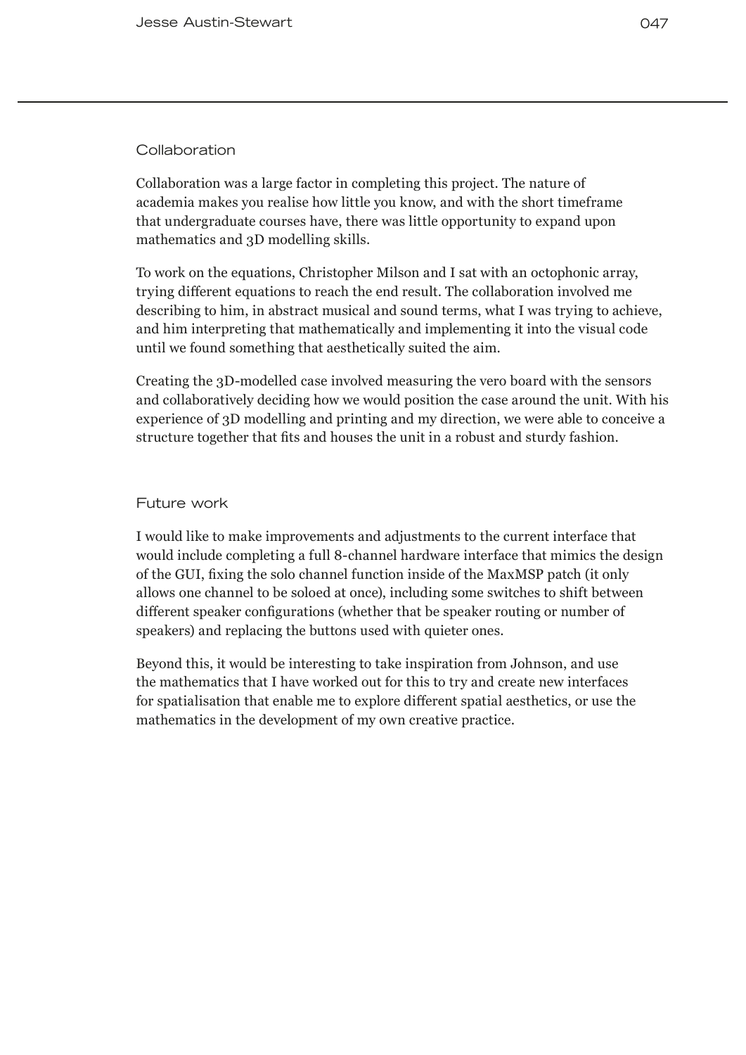## **Collaboration**

Collaboration was a large factor in completing this project. The nature of academia makes you realise how little you know, and with the short timeframe that undergraduate courses have, there was little opportunity to expand upon mathematics and 3D modelling skills.

To work on the equations, Christopher Milson and I sat with an octophonic array, trying different equations to reach the end result. The collaboration involved me describing to him, in abstract musical and sound terms, what I was trying to achieve, and him interpreting that mathematically and implementing it into the visual code until we found something that aesthetically suited the aim.

Creating the 3D-modelled case involved measuring the vero board with the sensors and collaboratively deciding how we would position the case around the unit. With his experience of 3D modelling and printing and my direction, we were able to conceive a structure together that fits and houses the unit in a robust and sturdy fashion.

## Future work

I would like to make improvements and adjustments to the current interface that would include completing a full 8-channel hardware interface that mimics the design of the GUI, fixing the solo channel function inside of the MaxMSP patch (it only allows one channel to be soloed at once), including some switches to shift between different speaker configurations (whether that be speaker routing or number of speakers) and replacing the buttons used with quieter ones.

Beyond this, it would be interesting to take inspiration from Johnson, and use the mathematics that I have worked out for this to try and create new interfaces for spatialisation that enable me to explore different spatial aesthetics, or use the mathematics in the development of my own creative practice.